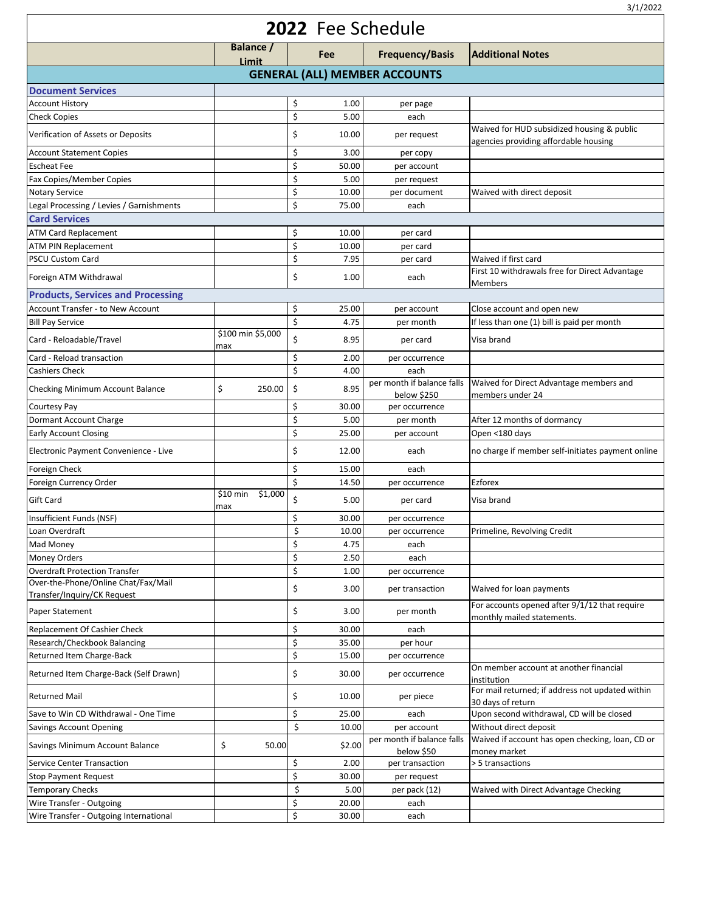| 2022 Fee Schedule                                                  |                            |             |                                           |                                                                                     |  |  |  |  |  |
|--------------------------------------------------------------------|----------------------------|-------------|-------------------------------------------|-------------------------------------------------------------------------------------|--|--|--|--|--|
|                                                                    | Balance /<br>Limit         | Fee         | <b>Frequency/Basis</b>                    | <b>Additional Notes</b>                                                             |  |  |  |  |  |
| <b>GENERAL (ALL) MEMBER ACCOUNTS</b>                               |                            |             |                                           |                                                                                     |  |  |  |  |  |
| <b>Document Services</b>                                           |                            |             |                                           |                                                                                     |  |  |  |  |  |
| <b>Account History</b>                                             |                            | \$<br>1.00  | per page                                  |                                                                                     |  |  |  |  |  |
| <b>Check Copies</b>                                                |                            | \$<br>5.00  | each                                      |                                                                                     |  |  |  |  |  |
| Verification of Assets or Deposits                                 |                            | \$<br>10.00 | per request                               | Waived for HUD subsidized housing & public<br>agencies providing affordable housing |  |  |  |  |  |
| <b>Account Statement Copies</b>                                    |                            | \$<br>3.00  | per copy                                  |                                                                                     |  |  |  |  |  |
| <b>Escheat Fee</b>                                                 |                            | \$<br>50.00 | per account                               |                                                                                     |  |  |  |  |  |
| Fax Copies/Member Copies                                           |                            | \$<br>5.00  | per request                               |                                                                                     |  |  |  |  |  |
| <b>Notary Service</b>                                              |                            | \$<br>10.00 | per document                              | Waived with direct deposit                                                          |  |  |  |  |  |
| Legal Processing / Levies / Garnishments                           |                            | \$<br>75.00 | each                                      |                                                                                     |  |  |  |  |  |
| <b>Card Services</b>                                               |                            |             |                                           |                                                                                     |  |  |  |  |  |
| <b>ATM Card Replacement</b>                                        |                            | \$<br>10.00 | per card                                  |                                                                                     |  |  |  |  |  |
| <b>ATM PIN Replacement</b>                                         |                            | Ś<br>10.00  | per card                                  |                                                                                     |  |  |  |  |  |
| <b>PSCU Custom Card</b>                                            |                            | \$<br>7.95  | per card                                  | Waived if first card                                                                |  |  |  |  |  |
| Foreign ATM Withdrawal                                             |                            | \$<br>1.00  | each                                      | First 10 withdrawals free for Direct Advantage<br><b>Members</b>                    |  |  |  |  |  |
| <b>Products, Services and Processing</b>                           |                            |             |                                           |                                                                                     |  |  |  |  |  |
| Account Transfer - to New Account                                  |                            | \$<br>25.00 | per account                               | Close account and open new                                                          |  |  |  |  |  |
| <b>Bill Pay Service</b>                                            |                            | \$<br>4.75  | per month                                 | If less than one (1) bill is paid per month                                         |  |  |  |  |  |
| Card - Reloadable/Travel                                           | \$100 min \$5,000<br>max   | \$<br>8.95  | per card                                  | Visa brand                                                                          |  |  |  |  |  |
| Card - Reload transaction                                          |                            | \$<br>2.00  | per occurrence                            |                                                                                     |  |  |  |  |  |
| <b>Cashiers Check</b>                                              |                            | \$<br>4.00  | each                                      |                                                                                     |  |  |  |  |  |
| Checking Minimum Account Balance                                   | \$<br>250.00               | \$<br>8.95  | per month if balance falls<br>below \$250 | Waived for Direct Advantage members and<br>members under 24                         |  |  |  |  |  |
| <b>Courtesy Pay</b>                                                |                            | \$<br>30.00 | per occurrence                            |                                                                                     |  |  |  |  |  |
| Dormant Account Charge                                             |                            | \$<br>5.00  | per month                                 | After 12 months of dormancy                                                         |  |  |  |  |  |
| <b>Early Account Closing</b>                                       |                            | \$<br>25.00 | per account                               | Open <180 days                                                                      |  |  |  |  |  |
| Electronic Payment Convenience - Live                              |                            | \$<br>12.00 | each                                      | no charge if member self-initiates payment online                                   |  |  |  |  |  |
| Foreign Check                                                      |                            | \$<br>15.00 | each                                      |                                                                                     |  |  |  |  |  |
| Foreign Currency Order                                             |                            | \$<br>14.50 | per occurrence                            | Ezforex                                                                             |  |  |  |  |  |
| <b>Gift Card</b>                                                   | \$10 min<br>\$1,000<br>max | \$<br>5.00  | per card                                  | Visa brand                                                                          |  |  |  |  |  |
| Insufficient Funds (NSF)                                           |                            | \$<br>30.00 | per occurrence                            |                                                                                     |  |  |  |  |  |
| Loan Overdraft                                                     |                            | \$<br>10.00 | per occurrence                            | Primeline, Revolving Credit                                                         |  |  |  |  |  |
| Mad Money                                                          |                            | \$<br>4.75  | each                                      |                                                                                     |  |  |  |  |  |
| <b>Money Orders</b>                                                |                            | \$<br>2.50  | each                                      |                                                                                     |  |  |  |  |  |
| <b>Overdraft Protection Transfer</b>                               |                            | \$<br>1.00  | per occurrence                            |                                                                                     |  |  |  |  |  |
| Over-the-Phone/Online Chat/Fax/Mail<br>Transfer/Inquiry/CK Request |                            | \$<br>3.00  | per transaction                           | Waived for loan payments                                                            |  |  |  |  |  |
| Paper Statement                                                    |                            | \$<br>3.00  | per month                                 | For accounts opened after 9/1/12 that require<br>monthly mailed statements.         |  |  |  |  |  |
| Replacement Of Cashier Check                                       |                            | \$<br>30.00 | each                                      |                                                                                     |  |  |  |  |  |
| Research/Checkbook Balancing                                       |                            | \$<br>35.00 | per hour                                  |                                                                                     |  |  |  |  |  |
| Returned Item Charge-Back                                          |                            | \$<br>15.00 | per occurrence                            |                                                                                     |  |  |  |  |  |
| Returned Item Charge-Back (Self Drawn)                             |                            | \$<br>30.00 | per occurrence                            | On member account at another financial<br>institution                               |  |  |  |  |  |
| <b>Returned Mail</b>                                               |                            | \$<br>10.00 | per piece                                 | For mail returned; if address not updated within<br>30 days of return               |  |  |  |  |  |
| Save to Win CD Withdrawal - One Time                               |                            | \$<br>25.00 | each                                      | Upon second withdrawal, CD will be closed                                           |  |  |  |  |  |
| <b>Savings Account Opening</b>                                     |                            | \$<br>10.00 | per account                               | Without direct deposit                                                              |  |  |  |  |  |
| Savings Minimum Account Balance                                    | \$<br>50.00                | \$2.00      | per month if balance falls<br>below \$50  | Waived if account has open checking, loan, CD or<br>money market                    |  |  |  |  |  |
| <b>Service Center Transaction</b>                                  |                            | \$<br>2.00  | per transaction                           | > 5 transactions                                                                    |  |  |  |  |  |
| <b>Stop Payment Request</b>                                        |                            | \$<br>30.00 | per request                               |                                                                                     |  |  |  |  |  |
| <b>Temporary Checks</b>                                            |                            | \$<br>5.00  | per pack (12)                             | Waived with Direct Advantage Checking                                               |  |  |  |  |  |
| Wire Transfer - Outgoing                                           |                            | \$<br>20.00 | each                                      |                                                                                     |  |  |  |  |  |
| Wire Transfer - Outgoing International                             |                            | \$<br>30.00 | each                                      |                                                                                     |  |  |  |  |  |

3/1/2022